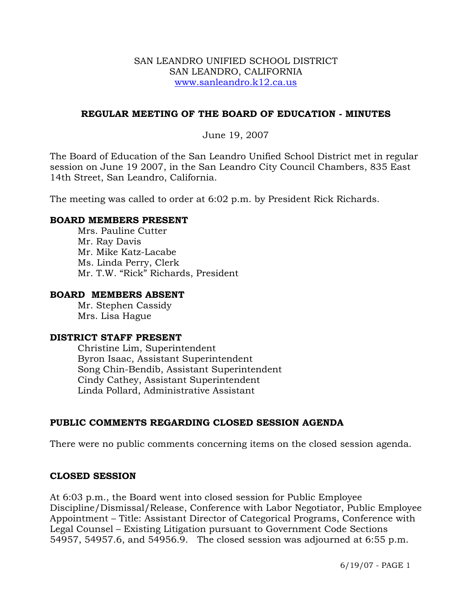#### SAN LEANDRO UNIFIED SCHOOL DISTRICT SAN LEANDRO, CALIFORNIA www.sanleandro.k12.ca.us

## **REGULAR MEETING OF THE BOARD OF EDUCATION - MINUTES**

June 19, 2007

The Board of Education of the San Leandro Unified School District met in regular session on June 19 2007, in the San Leandro City Council Chambers, 835 East 14th Street, San Leandro, California.

The meeting was called to order at 6:02 p.m. by President Rick Richards.

#### **BOARD MEMBERS PRESENT**

Mrs. Pauline Cutter Mr. Ray Davis Mr. Mike Katz-Lacabe Ms. Linda Perry, Clerk Mr. T.W. "Rick" Richards, President

#### **BOARD MEMBERS ABSENT**

Mr. Stephen Cassidy Mrs. Lisa Hague

#### **DISTRICT STAFF PRESENT**

Christine Lim, Superintendent Byron Isaac, Assistant Superintendent Song Chin-Bendib, Assistant Superintendent Cindy Cathey, Assistant Superintendent Linda Pollard, Administrative Assistant

# **PUBLIC COMMENTS REGARDING CLOSED SESSION AGENDA**

There were no public comments concerning items on the closed session agenda.

#### **CLOSED SESSION**

At 6:03 p.m., the Board went into closed session for Public Employee Discipline/Dismissal/Release, Conference with Labor Negotiator, Public Employee Appointment – Title: Assistant Director of Categorical Programs, Conference with Legal Counsel – Existing Litigation pursuant to Government Code Sections 54957, 54957.6, and 54956.9. The closed session was adjourned at 6:55 p.m.

6/19/07 - PAGE 1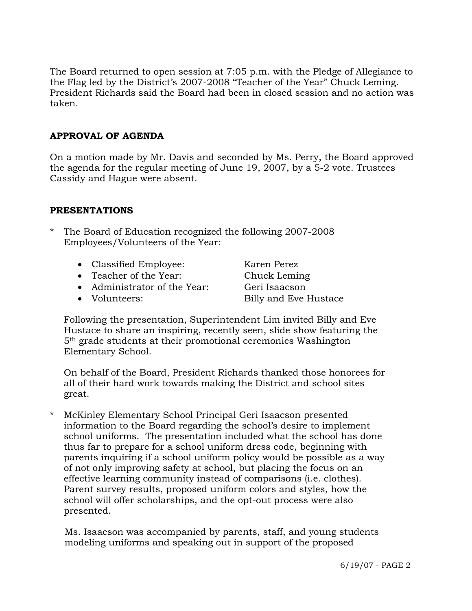The Board returned to open session at 7:05 p.m. with the Pledge of Allegiance to the Flag led by the District's 2007-2008 "Teacher of the Year" Chuck Leming. President Richards said the Board had been in closed session and no action was taken.

# **APPROVAL OF AGENDA**

On a motion made by Mr. Davis and seconded by Ms. Perry, the Board approved the agenda for the regular meeting of June 19, 2007, by a 5-2 vote. Trustees Cassidy and Hague were absent.

## **PRESENTATIONS**

- The Board of Education recognized the following 2007-2008 Employees/Volunteers of the Year:
	- Classified Employee: Karen Perez
	- Teacher of the Year: Chuck Leming
	- Administrator of the Year: Geri Isaacson
	-

• Volunteers: Billy and Eve Hustace

Following the presentation, Superintendent Lim invited Billy and Eve Hustace to share an inspiring, recently seen, slide show featuring the 5th grade students at their promotional ceremonies Washington Elementary School.

On behalf of the Board, President Richards thanked those honorees for all of their hard work towards making the District and school sites great.

McKinley Elementary School Principal Geri Isaacson presented information to the Board regarding the school's desire to implement school uniforms. The presentation included what the school has done thus far to prepare for a school uniform dress code, beginning with parents inquiring if a school uniform policy would be possible as a way of not only improving safety at school, but placing the focus on an effective learning community instead of comparisons (i.e. clothes). Parent survey results, proposed uniform colors and styles, how the school will offer scholarships, and the opt-out process were also presented.

 Ms. Isaacson was accompanied by parents, staff, and young students modeling uniforms and speaking out in support of the proposed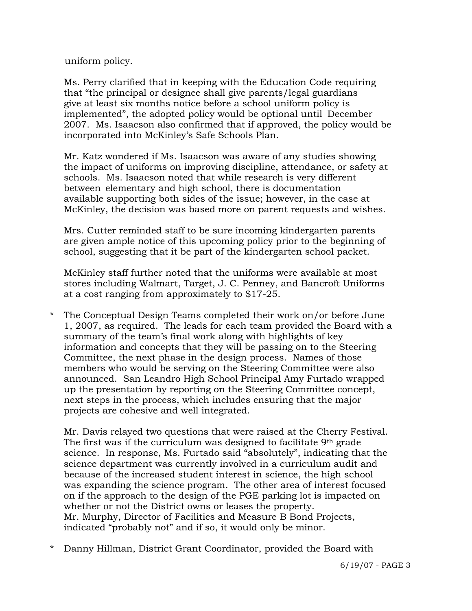uniform policy.

 Ms. Perry clarified that in keeping with the Education Code requiring that "the principal or designee shall give parents/legal guardians give at least six months notice before a school uniform policy is implemented", the adopted policy would be optional until December 2007. Ms. Isaacson also confirmed that if approved, the policy would be incorporated into McKinley's Safe Schools Plan.

 Mr. Katz wondered if Ms. Isaacson was aware of any studies showing the impact of uniforms on improving discipline, attendance, or safety at schools. Ms. Isaacson noted that while research is very different between elementary and high school, there is documentation available supporting both sides of the issue; however, in the case at McKinley, the decision was based more on parent requests and wishes.

 Mrs. Cutter reminded staff to be sure incoming kindergarten parents are given ample notice of this upcoming policy prior to the beginning of school, suggesting that it be part of the kindergarten school packet.

 McKinley staff further noted that the uniforms were available at most stores including Walmart, Target, J. C. Penney, and Bancroft Uniforms at a cost ranging from approximately to \$17-25.

\* The Conceptual Design Teams completed their work on/or before June 1, 2007, as required. The leads for each team provided the Board with a summary of the team's final work along with highlights of key information and concepts that they will be passing on to the Steering Committee, the next phase in the design process. Names of those members who would be serving on the Steering Committee were also announced. San Leandro High School Principal Amy Furtado wrapped up the presentation by reporting on the Steering Committee concept, next steps in the process, which includes ensuring that the major projects are cohesive and well integrated.

 Mr. Davis relayed two questions that were raised at the Cherry Festival. The first was if the curriculum was designed to facilitate  $9<sup>th</sup>$  grade science. In response, Ms. Furtado said "absolutely", indicating that the science department was currently involved in a curriculum audit and because of the increased student interest in science, the high school was expanding the science program. The other area of interest focused on if the approach to the design of the PGE parking lot is impacted on whether or not the District owns or leases the property. Mr. Murphy, Director of Facilities and Measure B Bond Projects, indicated "probably not" and if so, it would only be minor.

\* Danny Hillman, District Grant Coordinator, provided the Board with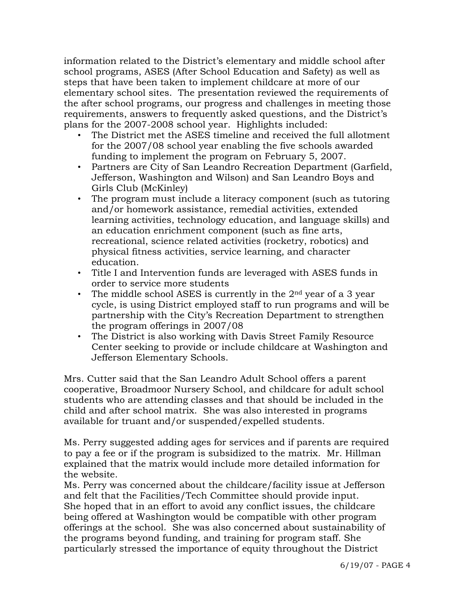information related to the District's elementary and middle school after school programs, ASES (After School Education and Safety) as well as steps that have been taken to implement childcare at more of our elementary school sites. The presentation reviewed the requirements of the after school programs, our progress and challenges in meeting those requirements, answers to frequently asked questions, and the District's plans for the 2007-2008 school year. Highlights included:

- The District met the ASES timeline and received the full allotment for the 2007/08 school year enabling the five schools awarded funding to implement the program on February 5, 2007.
- Partners are City of San Leandro Recreation Department (Garfield, Jefferson, Washington and Wilson) and San Leandro Boys and Girls Club (McKinley)
- The program must include a literacy component (such as tutoring and/or homework assistance, remedial activities, extended learning activities, technology education, and language skills) and an education enrichment component (such as fine arts, recreational, science related activities (rocketry, robotics) and physical fitness activities, service learning, and character education.
- Title I and Intervention funds are leveraged with ASES funds in order to service more students
- The middle school ASES is currently in the  $2<sup>nd</sup>$  year of a 3 year cycle, is using District employed staff to run programs and will be partnership with the City's Recreation Department to strengthen the program offerings in 2007/08
- The District is also working with Davis Street Family Resource Center seeking to provide or include childcare at Washington and Jefferson Elementary Schools.

 Mrs. Cutter said that the San Leandro Adult School offers a parent cooperative, Broadmoor Nursery School, and childcare for adult school students who are attending classes and that should be included in the child and after school matrix. She was also interested in programs available for truant and/or suspended/expelled students.

 Ms. Perry suggested adding ages for services and if parents are required to pay a fee or if the program is subsidized to the matrix. Mr. Hillman explained that the matrix would include more detailed information for the website.

 Ms. Perry was concerned about the childcare/facility issue at Jefferson and felt that the Facilities/Tech Committee should provide input. She hoped that in an effort to avoid any conflict issues, the childcare being offered at Washington would be compatible with other program offerings at the school. She was also concerned about sustainability of the programs beyond funding, and training for program staff. She particularly stressed the importance of equity throughout the District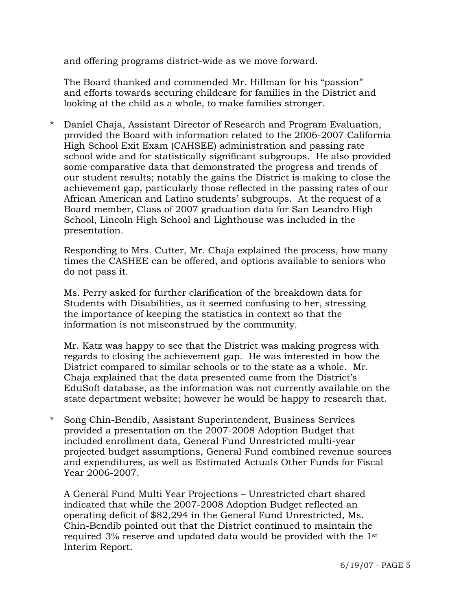and offering programs district-wide as we move forward.

 The Board thanked and commended Mr. Hillman for his "passion" and efforts towards securing childcare for families in the District and looking at the child as a whole, to make families stronger.

\* Daniel Chaja, Assistant Director of Research and Program Evaluation, provided the Board with information related to the 2006-2007 California High School Exit Exam (CAHSEE) administration and passing rate school wide and for statistically significant subgroups. He also provided some comparative data that demonstrated the progress and trends of our student results; notably the gains the District is making to close the achievement gap, particularly those reflected in the passing rates of our African American and Latino students' subgroups. At the request of a Board member, Class of 2007 graduation data for San Leandro High School, Lincoln High School and Lighthouse was included in the presentation.

 Responding to Mrs. Cutter, Mr. Chaja explained the process, how many times the CASHEE can be offered, and options available to seniors who do not pass it.

 Ms. Perry asked for further clarification of the breakdown data for Students with Disabilities, as it seemed confusing to her, stressing the importance of keeping the statistics in context so that the information is not misconstrued by the community.

 Mr. Katz was happy to see that the District was making progress with regards to closing the achievement gap. He was interested in how the District compared to similar schools or to the state as a whole. Mr. Chaja explained that the data presented came from the District's EduSoft database, as the information was not currently available on the state department website; however he would be happy to research that.

\* Song Chin-Bendib, Assistant Superintendent, Business Services provided a presentation on the 2007-2008 Adoption Budget that included enrollment data, General Fund Unrestricted multi-year projected budget assumptions, General Fund combined revenue sources and expenditures, as well as Estimated Actuals Other Funds for Fiscal Year 2006-2007.

 A General Fund Multi Year Projections – Unrestricted chart shared indicated that while the 2007-2008 Adoption Budget reflected an operating deficit of \$82,294 in the General Fund Unrestricted, Ms. Chin-Bendib pointed out that the District continued to maintain the required 3% reserve and updated data would be provided with the 1st Interim Report.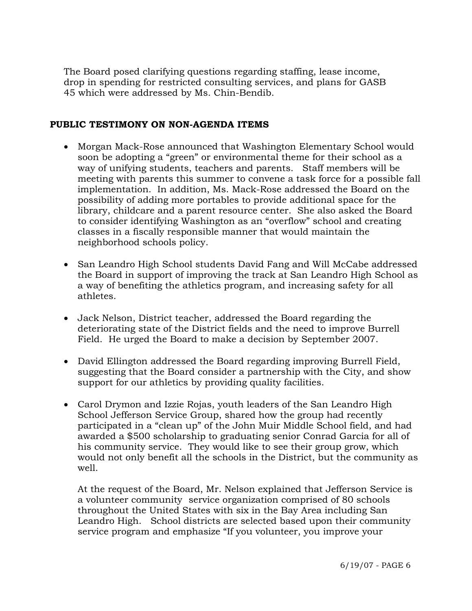The Board posed clarifying questions regarding staffing, lease income, drop in spending for restricted consulting services, and plans for GASB 45 which were addressed by Ms. Chin-Bendib.

## **PUBLIC TESTIMONY ON NON-AGENDA ITEMS**

- Morgan Mack-Rose announced that Washington Elementary School would soon be adopting a "green" or environmental theme for their school as a way of unifying students, teachers and parents. Staff members will be meeting with parents this summer to convene a task force for a possible fall implementation. In addition, Ms. Mack-Rose addressed the Board on the possibility of adding more portables to provide additional space for the library, childcare and a parent resource center. She also asked the Board to consider identifying Washington as an "overflow" school and creating classes in a fiscally responsible manner that would maintain the neighborhood schools policy.
- San Leandro High School students David Fang and Will McCabe addressed the Board in support of improving the track at San Leandro High School as a way of benefiting the athletics program, and increasing safety for all athletes.
- Jack Nelson, District teacher, addressed the Board regarding the deteriorating state of the District fields and the need to improve Burrell Field. He urged the Board to make a decision by September 2007.
- David Ellington addressed the Board regarding improving Burrell Field, suggesting that the Board consider a partnership with the City, and show support for our athletics by providing quality facilities.
- Carol Drymon and Izzie Rojas, youth leaders of the San Leandro High School Jefferson Service Group, shared how the group had recently participated in a "clean up" of the John Muir Middle School field, and had awarded a \$500 scholarship to graduating senior Conrad Garcia for all of his community service. They would like to see their group grow, which would not only benefit all the schools in the District, but the community as well.

 At the request of the Board, Mr. Nelson explained that Jefferson Service is a volunteer community service organization comprised of 80 schools throughout the United States with six in the Bay Area including San Leandro High. School districts are selected based upon their community service program and emphasize "If you volunteer, you improve your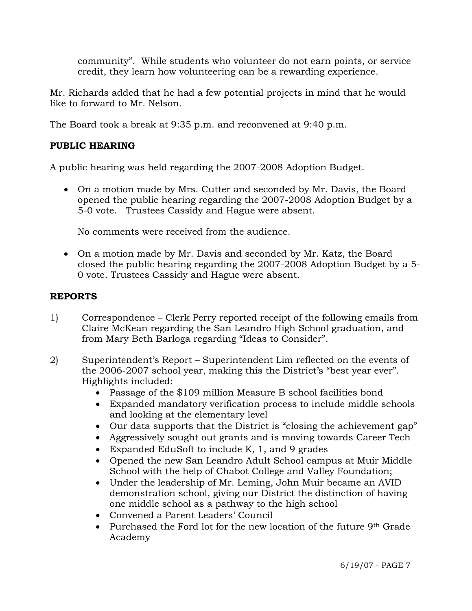community". While students who volunteer do not earn points, or service credit, they learn how volunteering can be a rewarding experience.

Mr. Richards added that he had a few potential projects in mind that he would like to forward to Mr. Nelson.

The Board took a break at 9:35 p.m. and reconvened at 9:40 p.m.

# **PUBLIC HEARING**

A public hearing was held regarding the 2007-2008 Adoption Budget.

• On a motion made by Mrs. Cutter and seconded by Mr. Davis, the Board opened the public hearing regarding the 2007-2008 Adoption Budget by a 5-0 vote. Trustees Cassidy and Hague were absent.

No comments were received from the audience.

• On a motion made by Mr. Davis and seconded by Mr. Katz, the Board closed the public hearing regarding the 2007-2008 Adoption Budget by a 5- 0 vote. Trustees Cassidy and Hague were absent.

# **REPORTS**

- 1) Correspondence Clerk Perry reported receipt of the following emails from Claire McKean regarding the San Leandro High School graduation, and from Mary Beth Barloga regarding "Ideas to Consider".
- 2) Superintendent's Report Superintendent Lim reflected on the events of the 2006-2007 school year, making this the District's "best year ever". Highlights included:
	- Passage of the \$109 million Measure B school facilities bond
	- Expanded mandatory verification process to include middle schools and looking at the elementary level
	- Our data supports that the District is "closing the achievement gap"
	- Aggressively sought out grants and is moving towards Career Tech
	- Expanded EduSoft to include K, 1, and 9 grades
	- Opened the new San Leandro Adult School campus at Muir Middle School with the help of Chabot College and Valley Foundation;
	- Under the leadership of Mr. Leming, John Muir became an AVID demonstration school, giving our District the distinction of having one middle school as a pathway to the high school
	- Convened a Parent Leaders' Council
	- Purchased the Ford lot for the new location of the future 9<sup>th</sup> Grade Academy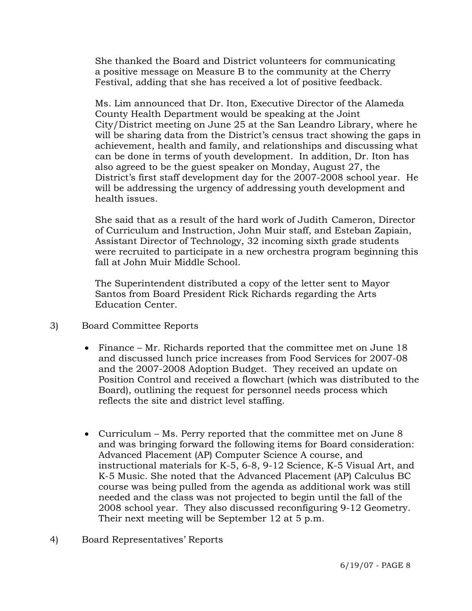She thanked the Board and District volunteers for communicating a positive message on Measure B to the community at the Cherry Festival, adding that she has received a lot of positive feedback.

 Ms. Lim announced that Dr. Iton, Executive Director of the Alameda County Health Department would be speaking at the Joint City/District meeting on June 25 at the San Leandro Library, where he will be sharing data from the District's census tract showing the gaps in achievement, health and family, and relationships and discussing what can be done in terms of youth development. In addition, Dr. Iton has also agreed to be the guest speaker on Monday, August 27, the District's first staff development day for the 2007-2008 school year. He will be addressing the urgency of addressing youth development and health issues.

 She said that as a result of the hard work of Judith Cameron, Director of Curriculum and Instruction, John Muir staff, and Esteban Zapiain, Assistant Director of Technology, 32 incoming sixth grade students were recruited to participate in a new orchestra program beginning this fall at John Muir Middle School.

 The Superintendent distributed a copy of the letter sent to Mayor Santos from Board President Rick Richards regarding the Arts Education Center.

- 3) Board Committee Reports
	- Finance Mr. Richards reported that the committee met on June 18 and discussed lunch price increases from Food Services for 2007-08 and the 2007-2008 Adoption Budget. They received an update on Position Control and received a flowchart (which was distributed to the Board), outlining the request for personnel needs process which reflects the site and district level staffing.
	- Curriculum Ms. Perry reported that the committee met on June 8 and was bringing forward the following items for Board consideration: Advanced Placement (AP) Computer Science A course, and instructional materials for K-5, 6-8, 9-12 Science, K-5 Visual Art, and K-5 Music. She noted that the Advanced Placement (AP) Calculus BC course was being pulled from the agenda as additional work was still needed and the class was not projected to begin until the fall of the 2008 school year. They also discussed reconfiguring 9-12 Geometry. Their next meeting will be September 12 at 5 p.m.
- 4) Board Representatives' Reports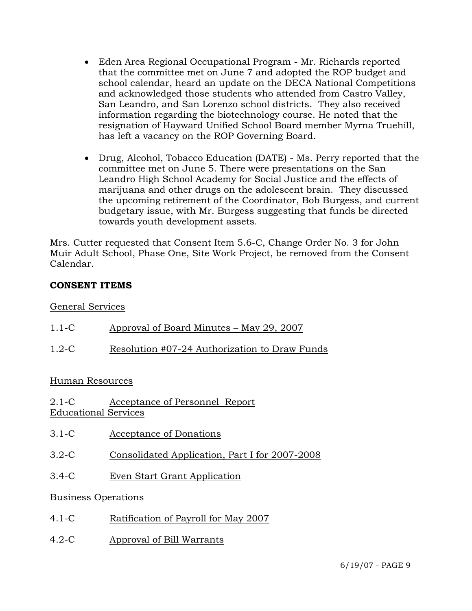- Eden Area Regional Occupational Program Mr. Richards reported that the committee met on June 7 and adopted the ROP budget and school calendar, heard an update on the DECA National Competitions and acknowledged those students who attended from Castro Valley, San Leandro, and San Lorenzo school districts. They also received information regarding the biotechnology course. He noted that the resignation of Hayward Unified School Board member Myrna Truehill, has left a vacancy on the ROP Governing Board.
- Drug, Alcohol, Tobacco Education (DATE) Ms. Perry reported that the committee met on June 5. There were presentations on the San Leandro High School Academy for Social Justice and the effects of marijuana and other drugs on the adolescent brain. They discussed the upcoming retirement of the Coordinator, Bob Burgess, and current budgetary issue, with Mr. Burgess suggesting that funds be directed towards youth development assets.

Mrs. Cutter requested that Consent Item 5.6-C, Change Order No. 3 for John Muir Adult School, Phase One, Site Work Project, be removed from the Consent Calendar.

# **CONSENT ITEMS**

# General Services

| $1.1 - C$                              | Approval of Board Minutes – May 29, 2007       |
|----------------------------------------|------------------------------------------------|
| $1.2-C$                                | Resolution #07-24 Authorization to Draw Funds  |
| Human Resources                        |                                                |
| $2.1-C$<br><b>Educational Services</b> | Acceptance of Personnel Report                 |
| $3.1 - C$                              | Acceptance of Donations                        |
| $3.2 - C$                              | Consolidated Application, Part I for 2007-2008 |

3.4-C Even Start Grant Application

# Business Operations

- 4.1-C Ratification of Payroll for May 2007
- 4.2-C Approval of Bill Warrants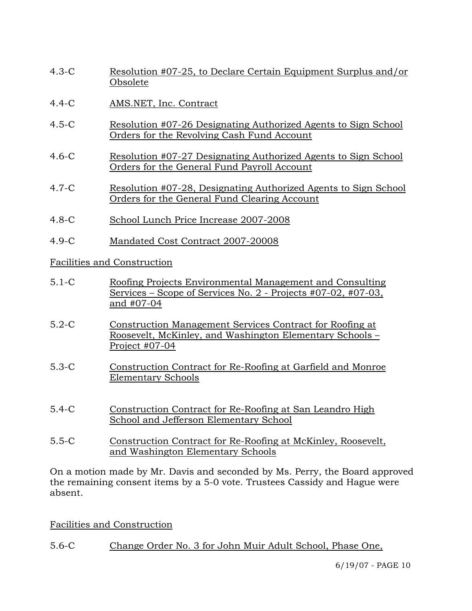- 4.3-C Resolution #07-25, to Declare Certain Equipment Surplus and/or Obsolete
- 4.4-C AMS.NET, Inc. Contract
- 4.5-C Resolution #07-26 Designating Authorized Agents to Sign School Orders for the Revolving Cash Fund Account
- 4.6-C Resolution #07-27 Designating Authorized Agents to Sign School Orders for the General Fund Payroll Account
- 4.7-C Resolution #07-28, Designating Authorized Agents to Sign School Orders for the General Fund Clearing Account
- 4.8-C School Lunch Price Increase 2007-2008
- 4.9-C Mandated Cost Contract 2007-20008

Facilities and Construction

- 5.1-C Roofing Projects Environmental Management and Consulting Services – Scope of Services No. 2 - Projects #07-02, #07-03, and #07-04
- 5.2-C Construction Management Services Contract for Roofing at Roosevelt, McKinley, and Washington Elementary Schools – Project #07-04
- 5.3-C Construction Contract for Re-Roofing at Garfield and Monroe Elementary Schools
- 5.4-C Construction Contract for Re-Roofing at San Leandro High School and Jefferson Elementary School
- 5.5-C Construction Contract for Re-Roofing at McKinley, Roosevelt, and Washington Elementary Schools

On a motion made by Mr. Davis and seconded by Ms. Perry, the Board approved the remaining consent items by a 5-0 vote. Trustees Cassidy and Hague were absent.

Facilities and Construction

5.6-C Change Order No. 3 for John Muir Adult School, Phase One,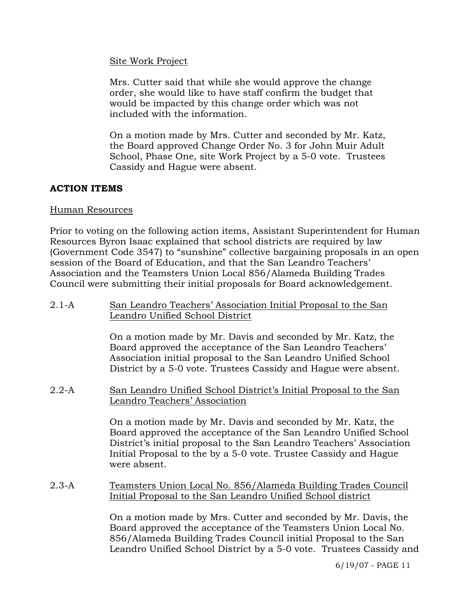#### Site Work Project

Mrs. Cutter said that while she would approve the change order, she would like to have staff confirm the budget that would be impacted by this change order which was not included with the information.

On a motion made by Mrs. Cutter and seconded by Mr. Katz, the Board approved Change Order No. 3 for John Muir Adult School, Phase One, site Work Project by a 5-0 vote. Trustees Cassidy and Hague were absent.

# **ACTION ITEMS**

## Human Resources

Prior to voting on the following action items, Assistant Superintendent for Human Resources Byron Isaac explained that school districts are required by law (Government Code 3547) to "sunshine" collective bargaining proposals in an open session of the Board of Education, and that the San Leandro Teachers' Association and the Teamsters Union Local 856/Alameda Building Trades Council were submitting their initial proposals for Board acknowledgement.

2.1-A San Leandro Teachers' Association Initial Proposal to the San Leandro Unified School District

> On a motion made by Mr. Davis and seconded by Mr. Katz, the Board approved the acceptance of the San Leandro Teachers' Association initial proposal to the San Leandro Unified School District by a 5-0 vote. Trustees Cassidy and Hague were absent.

2.2-A San Leandro Unified School District's Initial Proposal to the San Leandro Teachers' Association

> On a motion made by Mr. Davis and seconded by Mr. Katz, the Board approved the acceptance of the San Leandro Unified School District's initial proposal to the San Leandro Teachers' Association Initial Proposal to the by a 5-0 vote. Trustee Cassidy and Hague were absent.

2.3-A Teamsters Union Local No. 856/Alameda Building Trades Council Initial Proposal to the San Leandro Unified School district

> On a motion made by Mrs. Cutter and seconded by Mr. Davis, the Board approved the acceptance of the Teamsters Union Local No. 856/Alameda Building Trades Council initial Proposal to the San Leandro Unified School District by a 5-0 vote. Trustees Cassidy and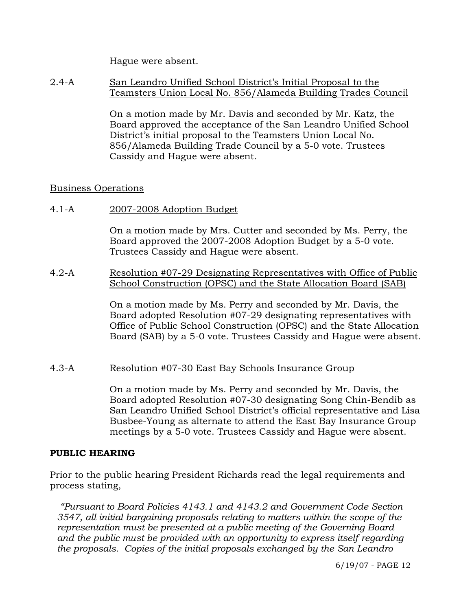Hague were absent.

2.4-A San Leandro Unified School District's Initial Proposal to the Teamsters Union Local No. 856/Alameda Building Trades Council

> On a motion made by Mr. Davis and seconded by Mr. Katz, the Board approved the acceptance of the San Leandro Unified School District's initial proposal to the Teamsters Union Local No. 856/Alameda Building Trade Council by a 5-0 vote. Trustees Cassidy and Hague were absent.

## Business Operations

4.1-A 2007-2008 Adoption Budget

On a motion made by Mrs. Cutter and seconded by Ms. Perry, the Board approved the 2007-2008 Adoption Budget by a 5-0 vote. Trustees Cassidy and Hague were absent.

#### 4.2-A Resolution #07-29 Designating Representatives with Office of Public School Construction (OPSC) and the State Allocation Board (SAB)

On a motion made by Ms. Perry and seconded by Mr. Davis, the Board adopted Resolution #07-29 designating representatives with Office of Public School Construction (OPSC) and the State Allocation Board (SAB) by a 5-0 vote. Trustees Cassidy and Hague were absent.

# 4.3-A Resolution #07-30 East Bay Schools Insurance Group

On a motion made by Ms. Perry and seconded by Mr. Davis, the Board adopted Resolution #07-30 designating Song Chin-Bendib as San Leandro Unified School District's official representative and Lisa Busbee-Young as alternate to attend the East Bay Insurance Group meetings by a 5-0 vote. Trustees Cassidy and Hague were absent.

# **PUBLIC HEARING**

Prior to the public hearing President Richards read the legal requirements and process stating,

*"Pursuant to Board Policies 4143.1 and 4143.2 and Government Code Section 3547, all initial bargaining proposals relating to matters within the scope of the representation must be presented at a public meeting of the Governing Board and the public must be provided with an opportunity to express itself regarding the proposals. Copies of the initial proposals exchanged by the San Leandro*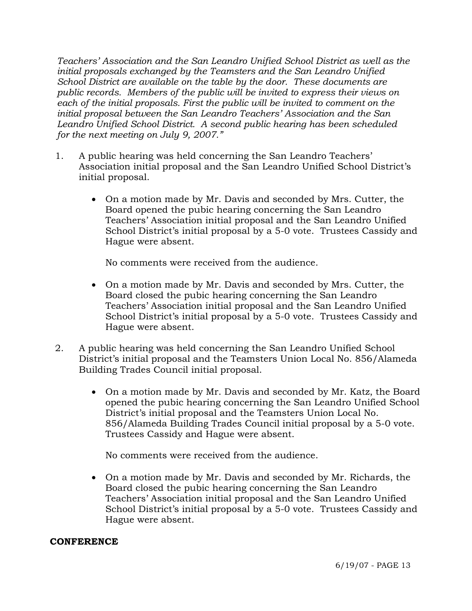*Teachers' Association and the San Leandro Unified School District as well as the initial proposals exchanged by the Teamsters and the San Leandro Unified School District are available on the table by the door. These documents are public records. Members of the public will be invited to express their views on each of the initial proposals. First the public will be invited to comment on the initial proposal between the San Leandro Teachers' Association and the San Leandro Unified School District. A second public hearing has been scheduled for the next meeting on July 9, 2007."* 

- 1. A public hearing was held concerning the San Leandro Teachers' Association initial proposal and the San Leandro Unified School District's initial proposal.
	- On a motion made by Mr. Davis and seconded by Mrs. Cutter, the Board opened the pubic hearing concerning the San Leandro Teachers' Association initial proposal and the San Leandro Unified School District's initial proposal by a 5-0 vote. Trustees Cassidy and Hague were absent.

No comments were received from the audience.

- On a motion made by Mr. Davis and seconded by Mrs. Cutter, the Board closed the pubic hearing concerning the San Leandro Teachers' Association initial proposal and the San Leandro Unified School District's initial proposal by a 5-0 vote. Trustees Cassidy and Hague were absent.
- 2. A public hearing was held concerning the San Leandro Unified School District's initial proposal and the Teamsters Union Local No. 856/Alameda Building Trades Council initial proposal.
	- On a motion made by Mr. Davis and seconded by Mr. Katz, the Board opened the pubic hearing concerning the San Leandro Unified School District's initial proposal and the Teamsters Union Local No. 856/Alameda Building Trades Council initial proposal by a 5-0 vote. Trustees Cassidy and Hague were absent.

No comments were received from the audience.

• On a motion made by Mr. Davis and seconded by Mr. Richards, the Board closed the pubic hearing concerning the San Leandro Teachers' Association initial proposal and the San Leandro Unified School District's initial proposal by a 5-0 vote. Trustees Cassidy and Hague were absent.

# **CONFERENCE**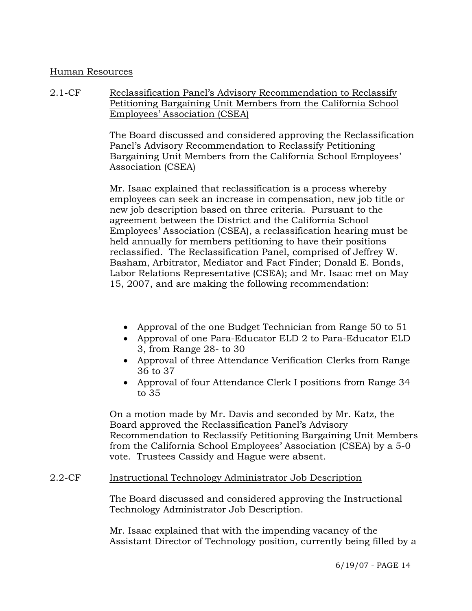## Human Resources

2.1-CF Reclassification Panel's Advisory Recommendation to Reclassify Petitioning Bargaining Unit Members from the California School Employees' Association (CSEA)

> The Board discussed and considered approving the Reclassification Panel's Advisory Recommendation to Reclassify Petitioning Bargaining Unit Members from the California School Employees' Association (CSEA)

Mr. Isaac explained that reclassification is a process whereby employees can seek an increase in compensation, new job title or new job description based on three criteria. Pursuant to the agreement between the District and the California School Employees' Association (CSEA), a reclassification hearing must be held annually for members petitioning to have their positions reclassified. The Reclassification Panel, comprised of Jeffrey W. Basham, Arbitrator, Mediator and Fact Finder; Donald E. Bonds, Labor Relations Representative (CSEA); and Mr. Isaac met on May 15, 2007, and are making the following recommendation:

- Approval of the one Budget Technician from Range 50 to 51
- Approval of one Para-Educator ELD 2 to Para-Educator ELD 3, from Range 28- to 30
- Approval of three Attendance Verification Clerks from Range 36 to 37
- Approval of four Attendance Clerk I positions from Range 34 to 35

On a motion made by Mr. Davis and seconded by Mr. Katz, the Board approved the Reclassification Panel's Advisory Recommendation to Reclassify Petitioning Bargaining Unit Members from the California School Employees' Association (CSEA) by a 5-0 vote. Trustees Cassidy and Hague were absent.

#### 2.2-CF Instructional Technology Administrator Job Description

The Board discussed and considered approving the Instructional Technology Administrator Job Description.

Mr. Isaac explained that with the impending vacancy of the Assistant Director of Technology position, currently being filled by a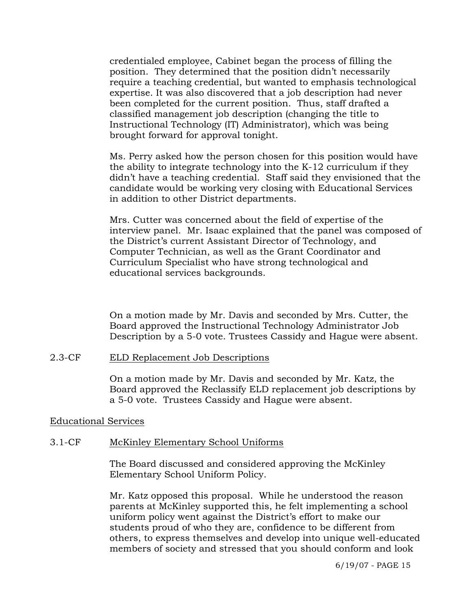credentialed employee, Cabinet began the process of filling the position. They determined that the position didn't necessarily require a teaching credential, but wanted to emphasis technological expertise. It was also discovered that a job description had never been completed for the current position. Thus, staff drafted a classified management job description (changing the title to Instructional Technology (IT) Administrator), which was being brought forward for approval tonight.

Ms. Perry asked how the person chosen for this position would have the ability to integrate technology into the K-12 curriculum if they didn't have a teaching credential. Staff said they envisioned that the candidate would be working very closing with Educational Services in addition to other District departments.

Mrs. Cutter was concerned about the field of expertise of the interview panel. Mr. Isaac explained that the panel was composed of the District's current Assistant Director of Technology, and Computer Technician, as well as the Grant Coordinator and Curriculum Specialist who have strong technological and educational services backgrounds.

On a motion made by Mr. Davis and seconded by Mrs. Cutter, the Board approved the Instructional Technology Administrator Job Description by a 5-0 vote. Trustees Cassidy and Hague were absent.

#### 2.3-CF ELD Replacement Job Descriptions

On a motion made by Mr. Davis and seconded by Mr. Katz, the Board approved the Reclassify ELD replacement job descriptions by a 5-0 vote. Trustees Cassidy and Hague were absent.

#### Educational Services

#### 3.1-CF McKinley Elementary School Uniforms

The Board discussed and considered approving the McKinley Elementary School Uniform Policy.

Mr. Katz opposed this proposal. While he understood the reason parents at McKinley supported this, he felt implementing a school uniform policy went against the District's effort to make our students proud of who they are, confidence to be different from others, to express themselves and develop into unique well-educated members of society and stressed that you should conform and look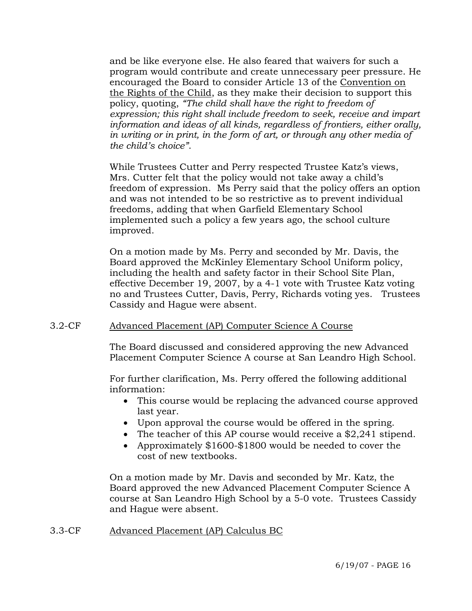and be like everyone else. He also feared that waivers for such a program would contribute and create unnecessary peer pressure. He encouraged the Board to consider Article 13 of the Convention on the Rights of the Child, as they make their decision to support this policy, quoting, *"The child shall have the right to freedom of expression; this right shall include freedom to seek, receive and impart information and ideas of all kinds, regardless of frontiers, either orally, in writing or in print, in the form of art, or through any other media of the child's choice"*.

While Trustees Cutter and Perry respected Trustee Katz's views, Mrs. Cutter felt that the policy would not take away a child's freedom of expression. Ms Perry said that the policy offers an option and was not intended to be so restrictive as to prevent individual freedoms, adding that when Garfield Elementary School implemented such a policy a few years ago, the school culture improved.

On a motion made by Ms. Perry and seconded by Mr. Davis, the Board approved the McKinley Elementary School Uniform policy, including the health and safety factor in their School Site Plan, effective December 19, 2007, by a 4-1 vote with Trustee Katz voting no and Trustees Cutter, Davis, Perry, Richards voting yes. Trustees Cassidy and Hague were absent.

#### 3.2-CF Advanced Placement (AP) Computer Science A Course

The Board discussed and considered approving the new Advanced Placement Computer Science A course at San Leandro High School.

For further clarification, Ms. Perry offered the following additional information:

- This course would be replacing the advanced course approved last year.
- Upon approval the course would be offered in the spring.
- The teacher of this AP course would receive a \$2,241 stipend.
- Approximately \$1600-\$1800 would be needed to cover the cost of new textbooks.

On a motion made by Mr. Davis and seconded by Mr. Katz, the Board approved the new Advanced Placement Computer Science A course at San Leandro High School by a 5-0 vote. Trustees Cassidy and Hague were absent.

#### 3.3-CF Advanced Placement (AP) Calculus BC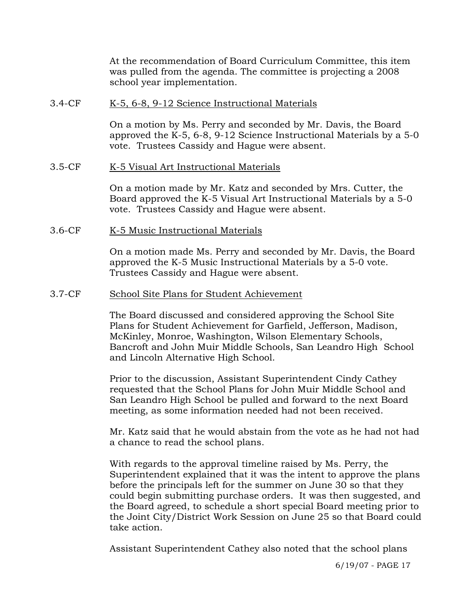At the recommendation of Board Curriculum Committee, this item was pulled from the agenda. The committee is projecting a 2008 school year implementation.

#### 3.4-CF K-5, 6-8, 9-12 Science Instructional Materials

On a motion by Ms. Perry and seconded by Mr. Davis, the Board approved the K-5, 6-8, 9-12 Science Instructional Materials by a 5-0 vote. Trustees Cassidy and Hague were absent.

## 3.5-CF K-5 Visual Art Instructional Materials

On a motion made by Mr. Katz and seconded by Mrs. Cutter, the Board approved the K-5 Visual Art Instructional Materials by a 5-0 vote. Trustees Cassidy and Hague were absent.

3.6-CF K-5 Music Instructional Materials

On a motion made Ms. Perry and seconded by Mr. Davis, the Board approved the K-5 Music Instructional Materials by a 5-0 vote. Trustees Cassidy and Hague were absent.

## 3.7-CF School Site Plans for Student Achievement

The Board discussed and considered approving the School Site Plans for Student Achievement for Garfield, Jefferson, Madison, McKinley, Monroe, Washington, Wilson Elementary Schools, Bancroft and John Muir Middle Schools, San Leandro High School and Lincoln Alternative High School.

Prior to the discussion, Assistant Superintendent Cindy Cathey requested that the School Plans for John Muir Middle School and San Leandro High School be pulled and forward to the next Board meeting, as some information needed had not been received.

Mr. Katz said that he would abstain from the vote as he had not had a chance to read the school plans.

With regards to the approval timeline raised by Ms. Perry, the Superintendent explained that it was the intent to approve the plans before the principals left for the summer on June 30 so that they could begin submitting purchase orders. It was then suggested, and the Board agreed, to schedule a short special Board meeting prior to the Joint City/District Work Session on June 25 so that Board could take action.

Assistant Superintendent Cathey also noted that the school plans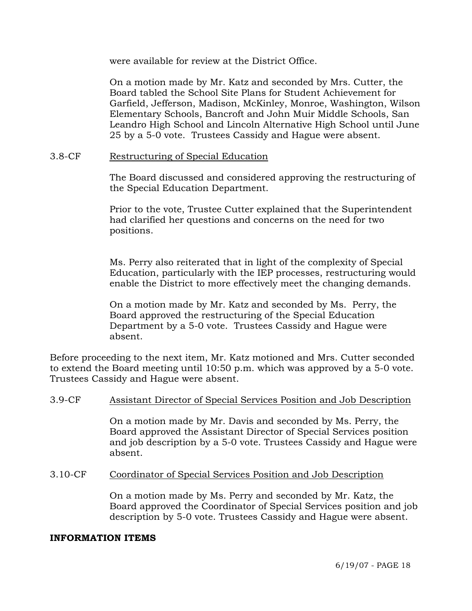were available for review at the District Office.

On a motion made by Mr. Katz and seconded by Mrs. Cutter, the Board tabled the School Site Plans for Student Achievement for Garfield, Jefferson, Madison, McKinley, Monroe, Washington, Wilson Elementary Schools, Bancroft and John Muir Middle Schools, San Leandro High School and Lincoln Alternative High School until June 25 by a 5-0 vote. Trustees Cassidy and Hague were absent.

#### 3.8-CF Restructuring of Special Education

The Board discussed and considered approving the restructuring of the Special Education Department.

Prior to the vote, Trustee Cutter explained that the Superintendent had clarified her questions and concerns on the need for two positions.

Ms. Perry also reiterated that in light of the complexity of Special Education, particularly with the IEP processes, restructuring would enable the District to more effectively meet the changing demands.

On a motion made by Mr. Katz and seconded by Ms. Perry, the Board approved the restructuring of the Special Education Department by a 5-0 vote. Trustees Cassidy and Hague were absent.

Before proceeding to the next item, Mr. Katz motioned and Mrs. Cutter seconded to extend the Board meeting until 10:50 p.m. which was approved by a 5-0 vote. Trustees Cassidy and Hague were absent.

#### 3.9-CF Assistant Director of Special Services Position and Job Description

On a motion made by Mr. Davis and seconded by Ms. Perry, the Board approved the Assistant Director of Special Services position and job description by a 5-0 vote. Trustees Cassidy and Hague were absent.

#### 3.10-CF Coordinator of Special Services Position and Job Description

On a motion made by Ms. Perry and seconded by Mr. Katz, the Board approved the Coordinator of Special Services position and job description by 5-0 vote. Trustees Cassidy and Hague were absent.

#### **INFORMATION ITEMS**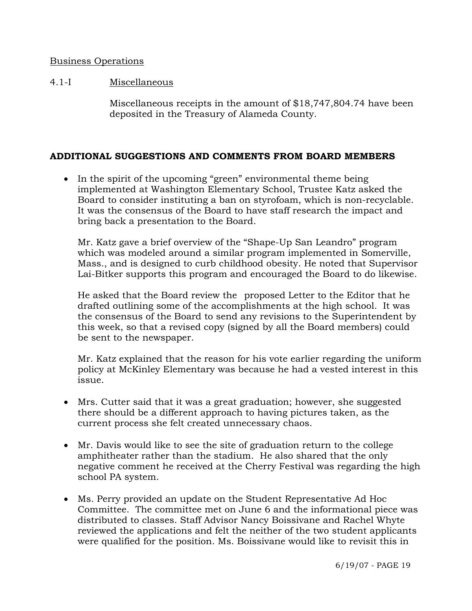## Business Operations

## 4.1-I Miscellaneous

Miscellaneous receipts in the amount of \$18,747,804.74 have been deposited in the Treasury of Alameda County.

## **ADDITIONAL SUGGESTIONS AND COMMENTS FROM BOARD MEMBERS**

• In the spirit of the upcoming "green" environmental theme being implemented at Washington Elementary School, Trustee Katz asked the Board to consider instituting a ban on styrofoam, which is non-recyclable. It was the consensus of the Board to have staff research the impact and bring back a presentation to the Board.

 Mr. Katz gave a brief overview of the "Shape-Up San Leandro" program which was modeled around a similar program implemented in Somerville, Mass., and is designed to curb childhood obesity. He noted that Supervisor Lai-Bitker supports this program and encouraged the Board to do likewise.

 He asked that the Board review the proposed Letter to the Editor that he drafted outlining some of the accomplishments at the high school. It was the consensus of the Board to send any revisions to the Superintendent by this week, so that a revised copy (signed by all the Board members) could be sent to the newspaper.

 Mr. Katz explained that the reason for his vote earlier regarding the uniform policy at McKinley Elementary was because he had a vested interest in this issue.

- Mrs. Cutter said that it was a great graduation; however, she suggested there should be a different approach to having pictures taken, as the current process she felt created unnecessary chaos.
- Mr. Davis would like to see the site of graduation return to the college amphitheater rather than the stadium. He also shared that the only negative comment he received at the Cherry Festival was regarding the high school PA system.
- Ms. Perry provided an update on the Student Representative Ad Hoc Committee. The committee met on June 6 and the informational piece was distributed to classes. Staff Advisor Nancy Boissivane and Rachel Whyte reviewed the applications and felt the neither of the two student applicants were qualified for the position. Ms. Boissivane would like to revisit this in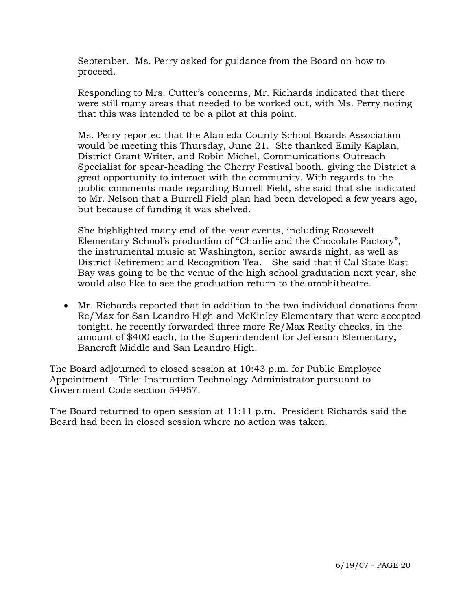September. Ms. Perry asked for guidance from the Board on how to proceed.

 Responding to Mrs. Cutter's concerns, Mr. Richards indicated that there were still many areas that needed to be worked out, with Ms. Perry noting that this was intended to be a pilot at this point.

 Ms. Perry reported that the Alameda County School Boards Association would be meeting this Thursday, June 21. She thanked Emily Kaplan, District Grant Writer, and Robin Michel, Communications Outreach Specialist for spear-heading the Cherry Festival booth, giving the District a great opportunity to interact with the community. With regards to the public comments made regarding Burrell Field, she said that she indicated to Mr. Nelson that a Burrell Field plan had been developed a few years ago, but because of funding it was shelved.

 She highlighted many end-of-the-year events, including Roosevelt Elementary School's production of "Charlie and the Chocolate Factory", the instrumental music at Washington, senior awards night, as well as District Retirement and Recognition Tea. She said that if Cal State East Bay was going to be the venue of the high school graduation next year, she would also like to see the graduation return to the amphitheatre.

• Mr. Richards reported that in addition to the two individual donations from Re/Max for San Leandro High and McKinley Elementary that were accepted tonight, he recently forwarded three more Re/Max Realty checks, in the amount of \$400 each, to the Superintendent for Jefferson Elementary, Bancroft Middle and San Leandro High.

The Board adjourned to closed session at 10:43 p.m. for Public Employee Appointment – Title: Instruction Technology Administrator pursuant to Government Code section 54957.

The Board returned to open session at 11:11 p.m. President Richards said the Board had been in closed session where no action was taken.